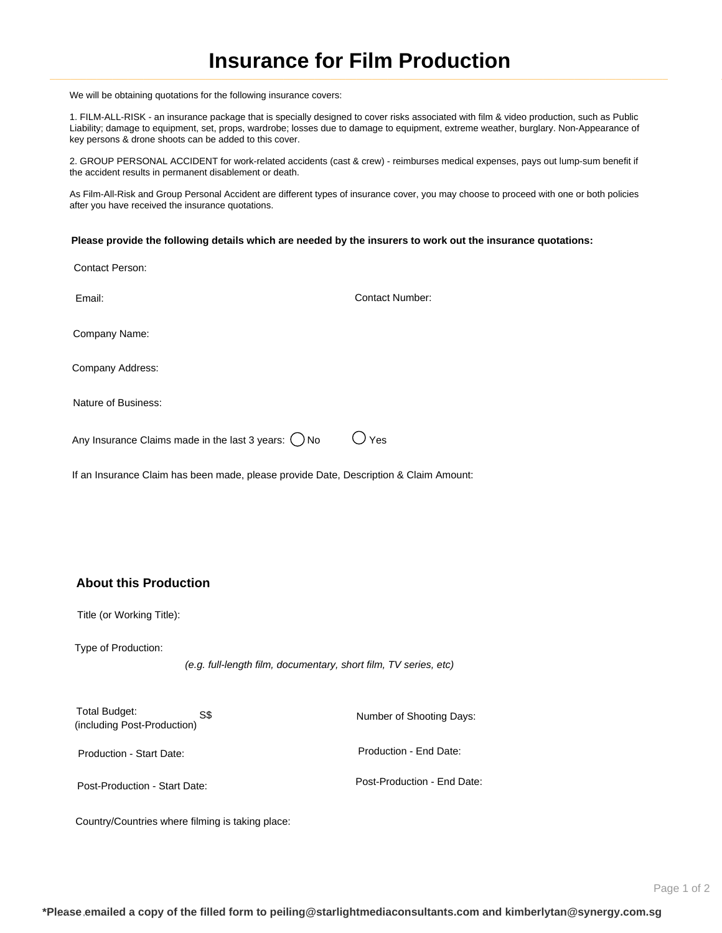## **Insurance for Film Production**

We will be obtaining quotations for the following insurance covers:

1. FILM-ALL-RISK - an insurance package that is specially designed to cover risks associated with film & video production, such as Public Liability; damage to equipment, set, props, wardrobe; losses due to damage to equipment, extreme weather, burglary. Non-Appearance of key persons & drone shoots can be added to this cover.

2. GROUP PERSONAL ACCIDENT for work-related accidents (cast & crew) - reimburses medical expenses, pays out lump-sum benefit if the accident results in permanent disablement or death.

As Film-All-Risk and Group Personal Accident are different types of insurance cover, you may choose to proceed with one or both policies after you have received the insurance quotations.

**Please provide the following details which are needed by the insurers to work out the insurance quotations:**

| Email:                                                    | <b>Contact Number:</b> |
|-----------------------------------------------------------|------------------------|
| Company Name:                                             |                        |
| Company Address:                                          |                        |
| Nature of Business:                                       |                        |
| Any Insurance Claims made in the last 3 years: $($ $)$ No | Yes                    |
|                                                           |                        |

If an Insurance Claim has been made, please provide Date, Description & Claim Amount:

## **About this Production**

Title (or Working Title):

Type of Production:

Contact Person:

(e.g. full-length film, documentary, short film, TV series, etc)

Total Budget: S\$ S\$ Number of Shooting Days: S\$ (including Post-Production)

Production - Start Date: Production - End Date:

Post-Production - Start Date: Post-Production - End Date:

Country/Countries where filming is taking place: